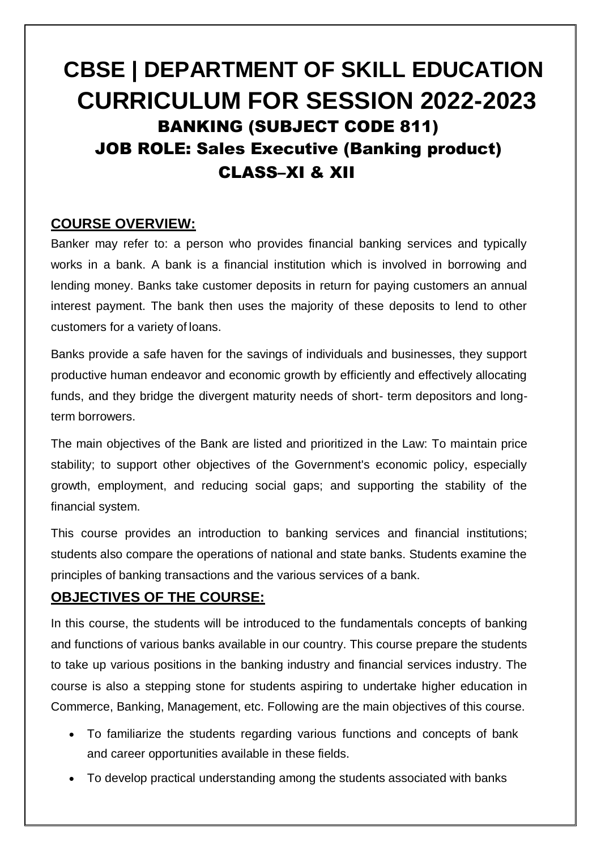# **CBSE | DEPARTMENT OF SKILL EDUCATION CURRICULUM FOR SESSION 2022-2023** BANKING (SUBJECT CODE 811) JOB ROLE: Sales Executive (Banking product) CLASS–XI & XII

# **COURSE OVERVIEW:**

Banker may refer to: a person who provides financial banking services and typically works in a bank. A bank is a financial institution which is involved in borrowing and lending money. Banks take customer deposits in return for paying customers an annual interest payment. The bank then uses the majority of these deposits to lend to other customers for a variety of loans.

Banks provide a safe haven for the savings of individuals and businesses, they support productive human endeavor and economic growth by efficiently and effectively allocating funds, and they bridge the divergent maturity needs of short- term depositors and longterm borrowers.

The main objectives of the Bank are listed and prioritized in the Law: To maintain price stability; to support other objectives of the Government's economic policy, especially growth, employment, and reducing social gaps; and supporting the stability of the financial system.

This course provides an introduction to banking services and financial institutions; students also compare the operations of national and state banks. Students examine the principles of banking transactions and the various services of a bank.

# **OBJECTIVES OF THE COURSE:**

In this course, the students will be introduced to the fundamentals concepts of banking and functions of various banks available in our country. This course prepare the students to take up various positions in the banking industry and financial services industry. The course is also a stepping stone for students aspiring to undertake higher education in Commerce, Banking, Management, etc. Following are the main objectives of this course.

- To familiarize the students regarding various functions and concepts of bank and career opportunities available in these fields.
- To develop practical understanding among the students associated with banks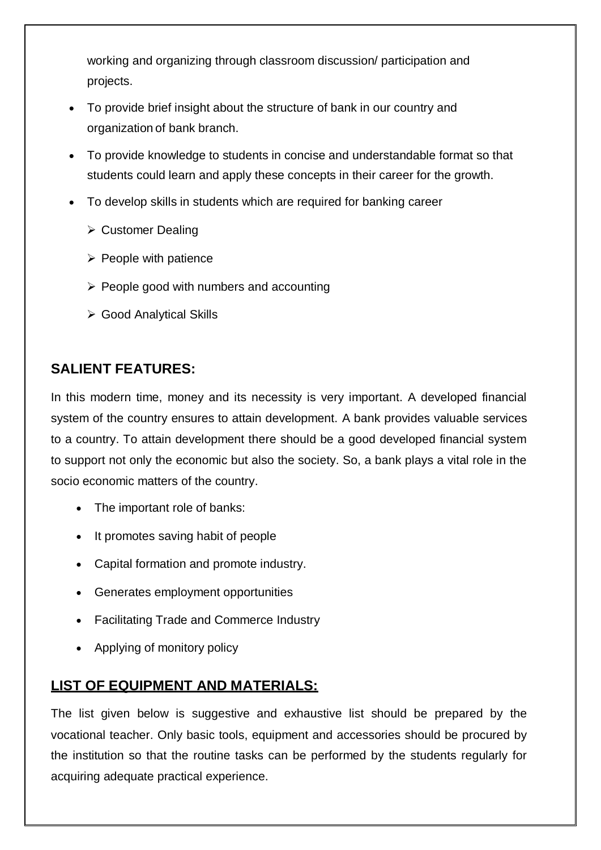working and organizing through classroom discussion/ participation and projects.

- To provide brief insight about the structure of bank in our country and organization of bank branch.
- To provide knowledge to students in concise and understandable format so that students could learn and apply these concepts in their career for the growth.
- To develop skills in students which are required for banking career
	- ▶ Customer Dealing
	- $\triangleright$  People with patience
	- $\triangleright$  People good with numbers and accounting
	- ▶ Good Analytical Skills

# **SALIENT FEATURES:**

In this modern time, money and its necessity is very important. A developed financial system of the country ensures to attain development. A bank provides valuable services to a country. To attain development there should be a good developed financial system to support not only the economic but also the society. So, a bank plays a vital role in the socio economic matters of the country.

- The important role of banks:
- It promotes saving habit of people
- Capital formation and promote industry.
- Generates employment opportunities
- Facilitating Trade and Commerce Industry
- Applying of monitory policy

# **LIST OF EQUIPMENT AND MATERIALS:**

The list given below is suggestive and exhaustive list should be prepared by the vocational teacher. Only basic tools, equipment and accessories should be procured by the institution so that the routine tasks can be performed by the students regularly for acquiring adequate practical experience.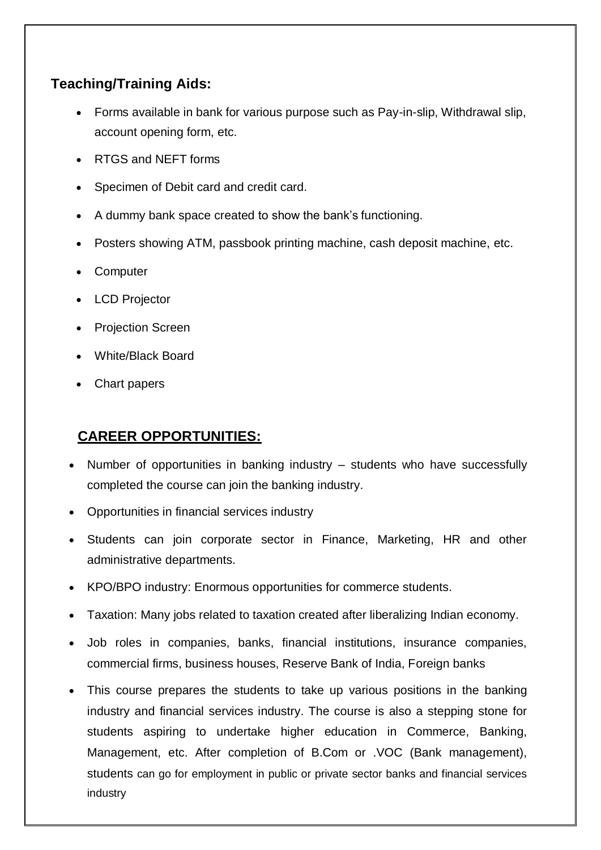# **Teaching/Training Aids:**

- Forms available in bank for various purpose such as Pay-in-slip, Withdrawal slip, account opening form, etc.
- RTGS and NEFT forms
- Specimen of Debit card and credit card.
- A dummy bank space created to show the bank's functioning.
- Posters showing ATM, passbook printing machine, cash deposit machine, etc.
- Computer
- LCD Projector
- Projection Screen
- White/Black Board
- Chart papers

# **CAREER OPPORTUNITIES:**

- Number of opportunities in banking industry students who have successfully completed the course can join the banking industry.
- Opportunities in financial services industry
- Students can join corporate sector in Finance, Marketing, HR and other administrative departments.
- KPO/BPO industry: Enormous opportunities for commerce students.
- Taxation: Many jobs related to taxation created after liberalizing Indian economy.
- Job roles in companies, banks, financial institutions, insurance companies, commercial firms, business houses, Reserve Bank of India, Foreign banks
- This course prepares the students to take up various positions in the banking industry and financial services industry. The course is also a stepping stone for students aspiring to undertake higher education in Commerce, Banking, Management, etc. After completion of B.Com or .VOC (Bank management), students can go for employment in public or private sector banks and financial services industry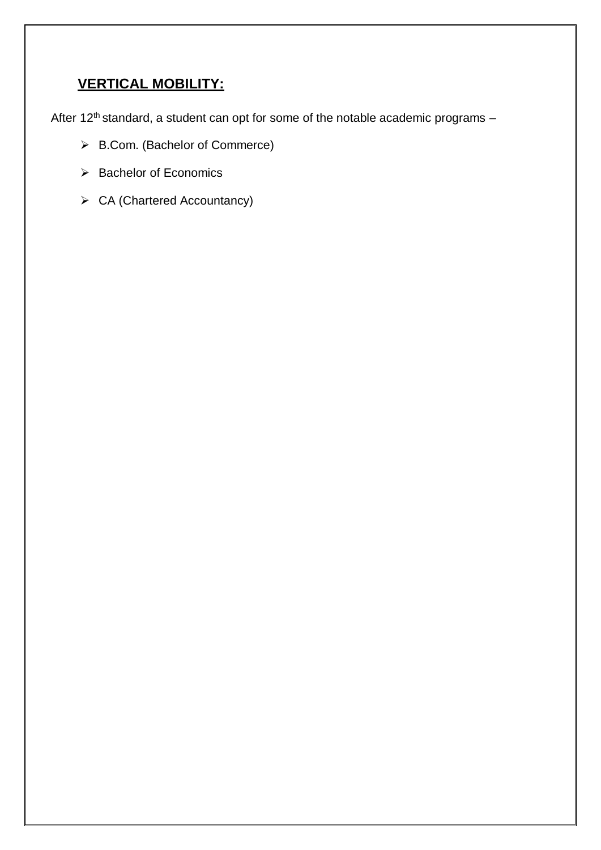# **VERTICAL MOBILITY:**

After 12<sup>th</sup> standard, a student can opt for some of the notable academic programs  $-$ 

- [B.Com. \(Bachelor of](https://www.apnaahangout.com/b-com/) Commerce)
- $\triangleright$  Bachelor of Economics
- [CA \(Chartered](https://www.apnaahangout.com/chartered-accountancy-course/) Accountancy)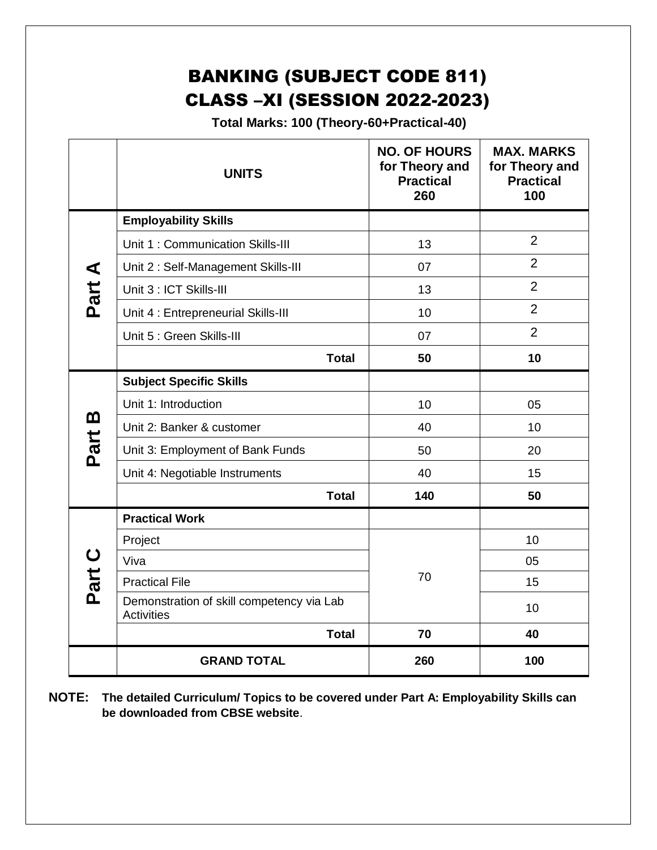# BANKING (SUBJECT CODE 811) CLASS –XI (SESSION 2022-2023)

 **Total Marks: 100 (Theory-60+Practical-40)**

|        | <b>UNITS</b>                                                   | <b>NO. OF HOURS</b><br>for Theory and<br><b>Practical</b><br>260 | <b>MAX. MARKS</b><br>for Theory and<br><b>Practical</b><br>100 |
|--------|----------------------------------------------------------------|------------------------------------------------------------------|----------------------------------------------------------------|
|        | <b>Employability Skills</b>                                    |                                                                  |                                                                |
|        | Unit 1: Communication Skills-III                               | 13                                                               | $\overline{2}$                                                 |
|        | Unit 2: Self-Management Skills-III                             | 07                                                               | $\overline{2}$                                                 |
| Part A | Unit 3 : ICT Skills-III                                        | 13                                                               | $\overline{2}$                                                 |
|        | Unit 4 : Entrepreneurial Skills-III                            | 10                                                               | $\overline{2}$                                                 |
|        | Unit 5 : Green Skills-III                                      | 07                                                               | $\overline{2}$                                                 |
|        | <b>Total</b>                                                   | 50                                                               | 10                                                             |
|        | <b>Subject Specific Skills</b>                                 |                                                                  |                                                                |
| Part B | Unit 1: Introduction                                           | 10                                                               | 05                                                             |
|        | Unit 2: Banker & customer                                      | 40                                                               | 10                                                             |
|        | Unit 3: Employment of Bank Funds                               | 50                                                               | 20                                                             |
|        | Unit 4: Negotiable Instruments                                 | 40                                                               | 15                                                             |
|        | <b>Total</b>                                                   | 140                                                              | 50                                                             |
|        | <b>Practical Work</b>                                          |                                                                  |                                                                |
|        | Project                                                        |                                                                  | 10                                                             |
|        | Viva                                                           |                                                                  | 05                                                             |
| Part C | <b>Practical File</b>                                          | 70                                                               | 15                                                             |
|        | Demonstration of skill competency via Lab<br><b>Activities</b> |                                                                  | 10                                                             |
|        | <b>Total</b>                                                   | 70                                                               | 40                                                             |
|        | <b>GRAND TOTAL</b>                                             | 260                                                              | 100                                                            |

**NOTE: The detailed Curriculum/ Topics to be covered under Part A: Employability Skills can be downloaded from CBSE website**.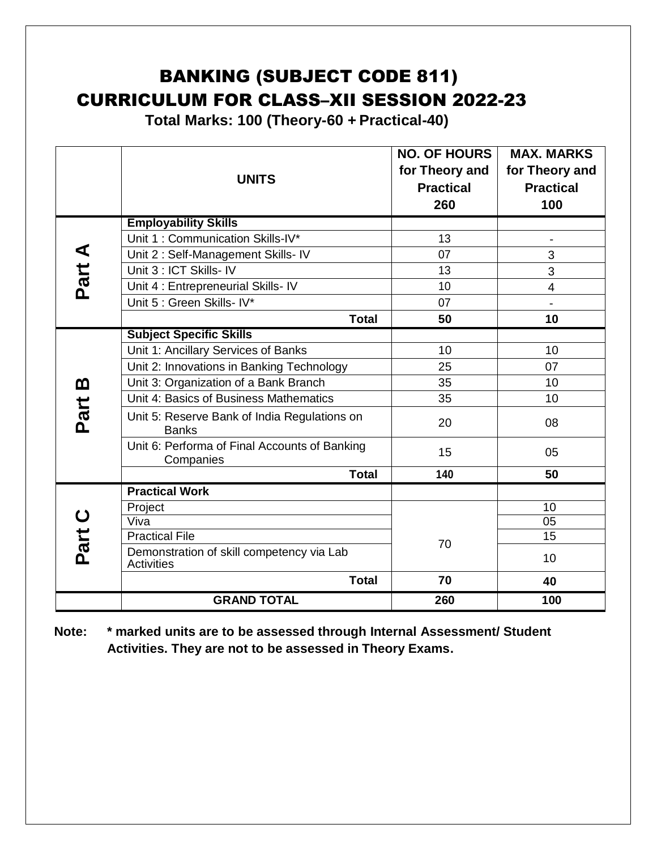# BANKING (SUBJECT CODE 811) CURRICULUM FOR CLASS–XII SESSION 2022-23

**Total Marks: 100 (Theory-60 + Practical-40)**

|          | <b>UNITS</b>                                                   | <b>NO. OF HOURS</b><br>for Theory and<br><b>Practical</b><br>260 | <b>MAX. MARKS</b><br>for Theory and<br><b>Practical</b><br>100 |
|----------|----------------------------------------------------------------|------------------------------------------------------------------|----------------------------------------------------------------|
|          | <b>Employability Skills</b>                                    |                                                                  |                                                                |
|          | Unit 1: Communication Skills-IV*                               | 13                                                               | $\blacksquare$                                                 |
|          | Unit 2: Self-Management Skills- IV                             | 07                                                               | 3                                                              |
| Part A   | Unit 3 : ICT Skills- IV                                        | 13                                                               | 3                                                              |
|          | Unit 4 : Entrepreneurial Skills- IV                            | 10                                                               | $\overline{4}$                                                 |
|          | Unit 5 : Green Skills- IV*                                     | 07                                                               | $\blacksquare$                                                 |
|          | <b>Total</b>                                                   | 50                                                               | 10                                                             |
|          | <b>Subject Specific Skills</b>                                 |                                                                  |                                                                |
|          | Unit 1: Ancillary Services of Banks                            | 10                                                               | 10                                                             |
|          | Unit 2: Innovations in Banking Technology                      | 25                                                               | 07                                                             |
| <u>ጠ</u> | Unit 3: Organization of a Bank Branch                          | 35                                                               | 10                                                             |
|          | Unit 4: Basics of Business Mathematics                         | 35                                                               | 10                                                             |
| Part     | Unit 5: Reserve Bank of India Regulations on<br><b>Banks</b>   | 20                                                               | 08                                                             |
|          | Unit 6: Performa of Final Accounts of Banking<br>Companies     | 15                                                               | 05                                                             |
|          | <b>Total</b>                                                   | 140                                                              | 50                                                             |
|          | <b>Practical Work</b>                                          |                                                                  |                                                                |
|          | Project                                                        |                                                                  | 10                                                             |
|          | Viva                                                           |                                                                  | 05                                                             |
|          | <b>Practical File</b>                                          | 70                                                               | 15                                                             |
| Part C   | Demonstration of skill competency via Lab<br><b>Activities</b> |                                                                  | 10                                                             |
|          | <b>Total</b>                                                   | 70                                                               | 40                                                             |
|          | <b>GRAND TOTAL</b>                                             | 260                                                              | 100                                                            |

**Note: \* marked units are to be assessed through Internal Assessment/ Student Activities. They are not to be assessed in Theory Exams.**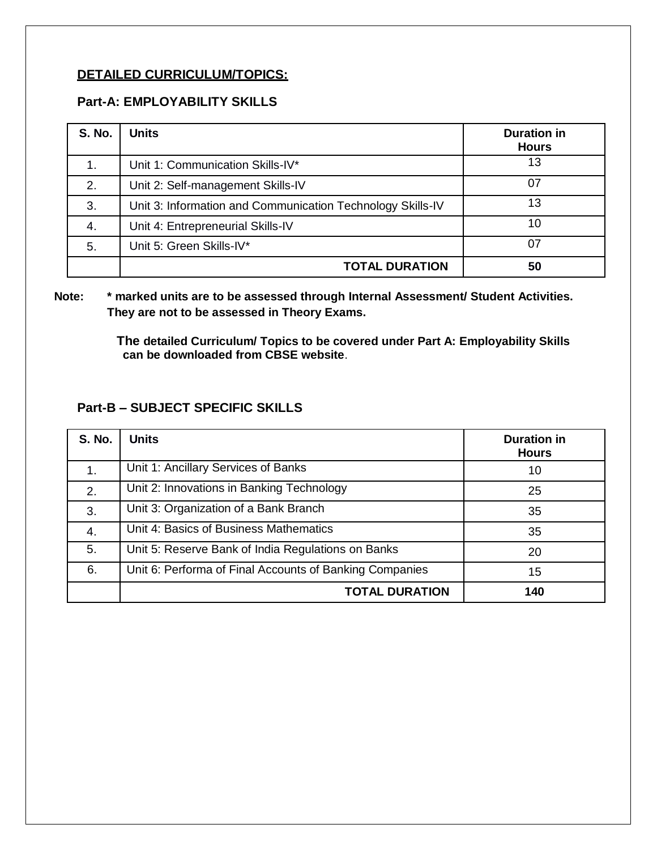### **DETAILED CURRICULUM/TOPICS:**

### **Part-A: EMPLOYABILITY SKILLS**

| <b>S. No.</b> | <b>Units</b>                                               | <b>Duration in</b><br><b>Hours</b> |
|---------------|------------------------------------------------------------|------------------------------------|
| 1.            | Unit 1: Communication Skills-IV*                           | 13                                 |
| 2.            | Unit 2: Self-management Skills-IV                          | 07                                 |
| 3.            | Unit 3: Information and Communication Technology Skills-IV | 13                                 |
| 4.            | Unit 4: Entrepreneurial Skills-IV                          | 10                                 |
| 5.            | Unit 5: Green Skills-IV*                                   | -07                                |
|               | <b>TOTAL DURATION</b>                                      | 50                                 |

### **Note: \* marked units are to be assessed through Internal Assessment/ Student Activities. They are not to be assessed in Theory Exams.**

 **The detailed Curriculum/ Topics to be covered under Part A: Employability Skills can be downloaded from CBSE website**.

### **Part-B – SUBJECT SPECIFIC SKILLS**

| <b>S. No.</b> | <b>Units</b>                                            | <b>Duration in</b><br><b>Hours</b> |
|---------------|---------------------------------------------------------|------------------------------------|
| 1.            | Unit 1: Ancillary Services of Banks                     | 10                                 |
| 2.            | Unit 2: Innovations in Banking Technology               | 25                                 |
| 3.            | Unit 3: Organization of a Bank Branch                   | 35                                 |
| 4.            | Unit 4: Basics of Business Mathematics                  | 35                                 |
| 5.            | Unit 5: Reserve Bank of India Regulations on Banks      | 20                                 |
| 6.            | Unit 6: Performa of Final Accounts of Banking Companies | 15                                 |
|               | <b>TOTAL DURATION</b>                                   | 140                                |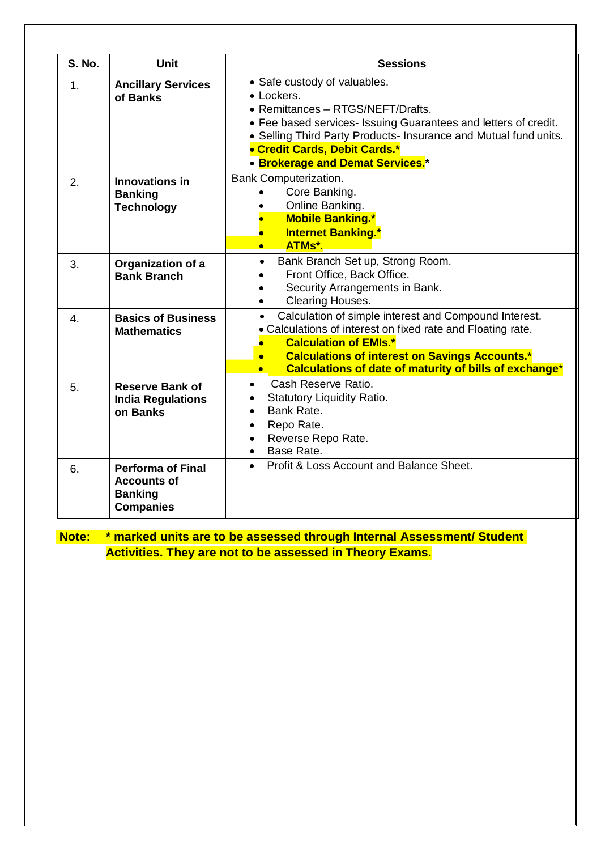| <b>S. No.</b>    | <b>Unit</b>                                                                          | <b>Sessions</b>                                                                                                                                                                                                                                                                                   |
|------------------|--------------------------------------------------------------------------------------|---------------------------------------------------------------------------------------------------------------------------------------------------------------------------------------------------------------------------------------------------------------------------------------------------|
| 1 <sub>1</sub>   | <b>Ancillary Services</b><br>of Banks                                                | • Safe custody of valuables.<br>• Lockers.<br>• Remittances - RTGS/NEFT/Drafts.<br>• Fee based services- Issuing Guarantees and letters of credit.<br>• Selling Third Party Products- Insurance and Mutual fund units.<br>• Credit Cards, Debit Cards.*<br>• Brokerage and Demat Services.*       |
| 2.               | Innovations in<br><b>Banking</b><br><b>Technology</b>                                | <b>Bank Computerization.</b><br>Core Banking.<br>Online Banking.<br><b>Mobile Banking.*</b><br><b>Internet Banking.*</b><br>$\bullet$<br><b>ATMs*.</b><br>$\bullet$                                                                                                                               |
| 3.               | Organization of a<br><b>Bank Branch</b>                                              | Bank Branch Set up, Strong Room.<br>$\bullet$<br>Front Office, Back Office.<br>Security Arrangements in Bank.<br>Clearing Houses.<br>$\bullet$                                                                                                                                                    |
| $\overline{4}$ . | <b>Basics of Business</b><br><b>Mathematics</b>                                      | Calculation of simple interest and Compound Interest.<br>$\bullet$<br>• Calculations of interest on fixed rate and Floating rate.<br><b>Calculation of EMIs.*</b><br><b>Calculations of interest on Savings Accounts.*</b><br>$\bullet$<br>Calculations of date of maturity of bills of exchange* |
| 5.               | <b>Reserve Bank of</b><br><b>India Regulations</b><br>on Banks                       | Cash Reserve Ratio.<br>$\bullet$<br><b>Statutory Liquidity Ratio.</b><br>$\bullet$<br>Bank Rate.<br>$\bullet$<br>Repo Rate.<br>$\bullet$<br>Reverse Repo Rate.<br>$\bullet$<br>Base Rate.                                                                                                         |
| 6.               | <b>Performa of Final</b><br><b>Accounts of</b><br><b>Banking</b><br><b>Companies</b> | Profit & Loss Account and Balance Sheet.<br>$\bullet$                                                                                                                                                                                                                                             |

# **Note: \* marked units are to be assessed through Internal Assessment/ Student Activities. They are not to be assessed in Theory Exams.**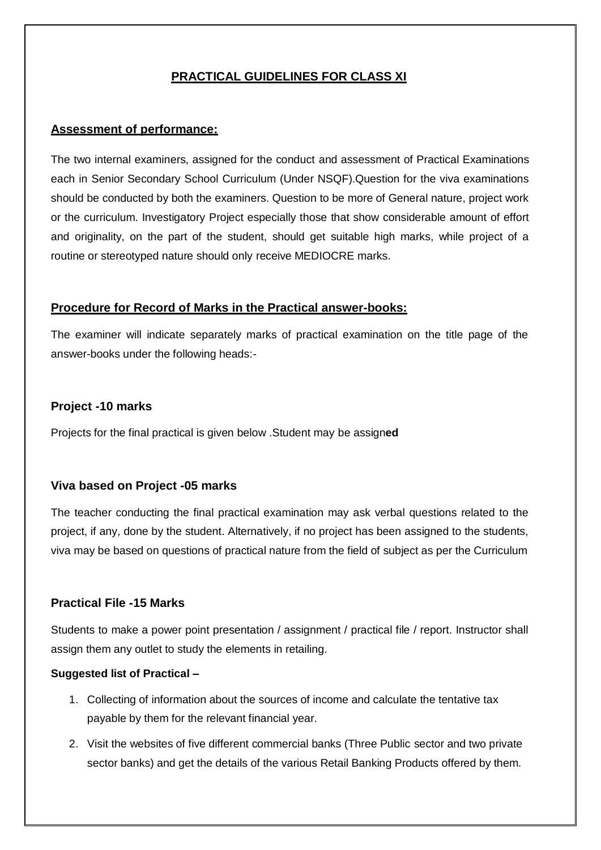## **PRACTICAL GUIDELINES FOR CLASS XI**

#### **Assessment of performance:**

The two internal examiners, assigned for the conduct and assessment of Practical Examinations each in Senior Secondary School Curriculum (Under NSQF).Question for the viva examinations should be conducted by both the examiners. Question to be more of General nature, project work or the curriculum. Investigatory Project especially those that show considerable amount of effort and originality, on the part of the student, should get suitable high marks, while project of a routine or stereotyped nature should only receive MEDIOCRE marks.

#### **Procedure for Record of Marks in the Practical answer-books:**

The examiner will indicate separately marks of practical examination on the title page of the answer-books under the following heads:-

#### **Project -10 marks**

Projects for the final practical is given below .Student may be assign**ed**

#### **Viva based on Project -05 marks**

The teacher conducting the final practical examination may ask verbal questions related to the project, if any, done by the student. Alternatively, if no project has been assigned to the students, viva may be based on questions of practical nature from the field of subject as per the Curriculum

#### **Practical File -15 Marks**

Students to make a power point presentation / assignment / practical file / report. Instructor shall assign them any outlet to study the elements in retailing.

#### **Suggested list of Practical –**

- 1. Collecting of information about the sources of income and calculate the tentative tax payable by them for the relevant financial year.
- 2. Visit the websites of five different commercial banks (Three Public sector and two private sector banks) and get the details of the various Retail Banking Products offered by them.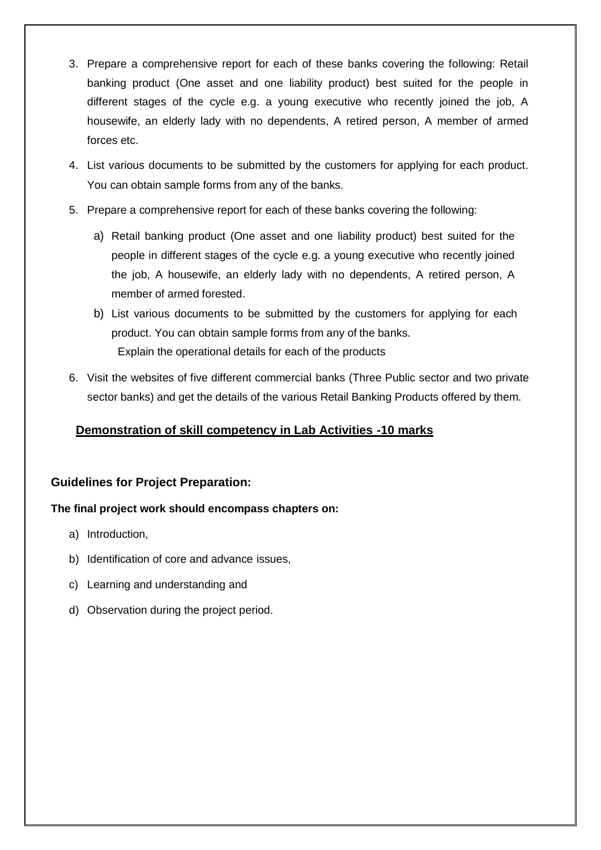- 3. Prepare a comprehensive report for each of these banks covering the following: Retail banking product (One asset and one liability product) best suited for the people in different stages of the cycle e.g. a young executive who recently joined the job, A housewife, an elderly lady with no dependents, A retired person, A member of armed forces etc.
- 4. List various documents to be submitted by the customers for applying for each product. You can obtain sample forms from any of the banks.
- 5. Prepare a comprehensive report for each of these banks covering the following:
	- a) Retail banking product (One asset and one liability product) best suited for the people in different stages of the cycle e.g. a young executive who recently joined the job, A housewife, an elderly lady with no dependents, A retired person, A member of armed forested.
	- b) List various documents to be submitted by the customers for applying for each product. You can obtain sample forms from any of the banks. Explain the operational details for each of the products
- 6. Visit the websites of five different commercial banks (Three Public sector and two private sector banks) and get the details of the various Retail Banking Products offered by them.

### **Demonstration of skill competency in Lab Activities -10 marks**

#### **Guidelines for Project Preparation:**

#### **The final project work should encompass chapters on:**

- a) Introduction,
- b) Identification of core and advance issues,
- c) Learning and understanding and
- d) Observation during the project period.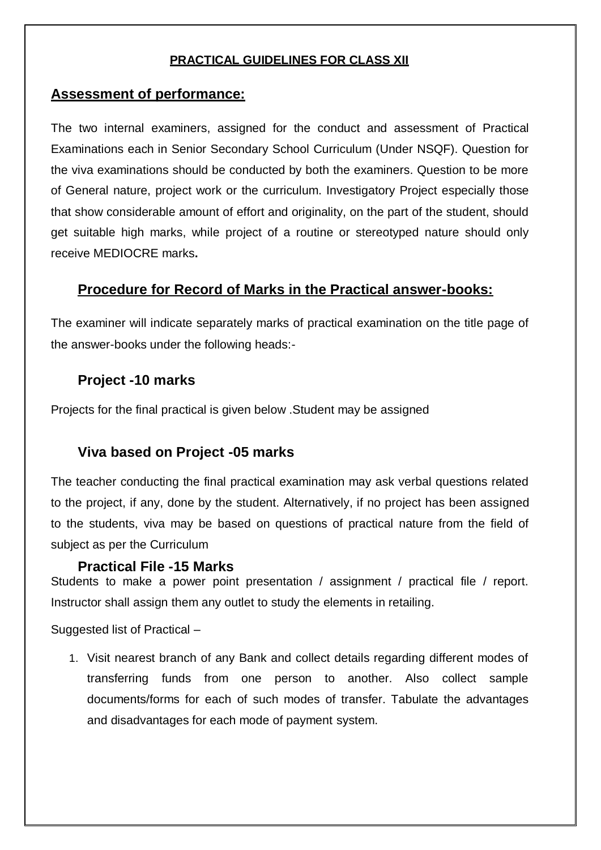### **PRACTICAL GUIDELINES FOR CLASS XII**

### **Assessment of performance:**

The two internal examiners, assigned for the conduct and assessment of Practical Examinations each in Senior Secondary School Curriculum (Under NSQF). Question for the viva examinations should be conducted by both the examiners. Question to be more of General nature, project work or the curriculum. Investigatory Project especially those that show considerable amount of effort and originality, on the part of the student, should get suitable high marks, while project of a routine or stereotyped nature should only receive MEDIOCRE marks**.**

## **Procedure for Record of Marks in the Practical answer-books:**

The examiner will indicate separately marks of practical examination on the title page of the answer-books under the following heads:-

# **Project -10 marks**

Projects for the final practical is given below .Student may be assigned

# **Viva based on Project -05 marks**

The teacher conducting the final practical examination may ask verbal questions related to the project, if any, done by the student. Alternatively, if no project has been assigned to the students, viva may be based on questions of practical nature from the field of subject as per the Curriculum

#### **Practical File -15 Marks**

Students to make a power point presentation / assignment / practical file / report. Instructor shall assign them any outlet to study the elements in retailing.

Suggested list of Practical –

1. Visit nearest branch of any Bank and collect details regarding different modes of transferring funds from one person to another. Also collect sample documents/forms for each of such modes of transfer. Tabulate the advantages and disadvantages for each mode of payment system.